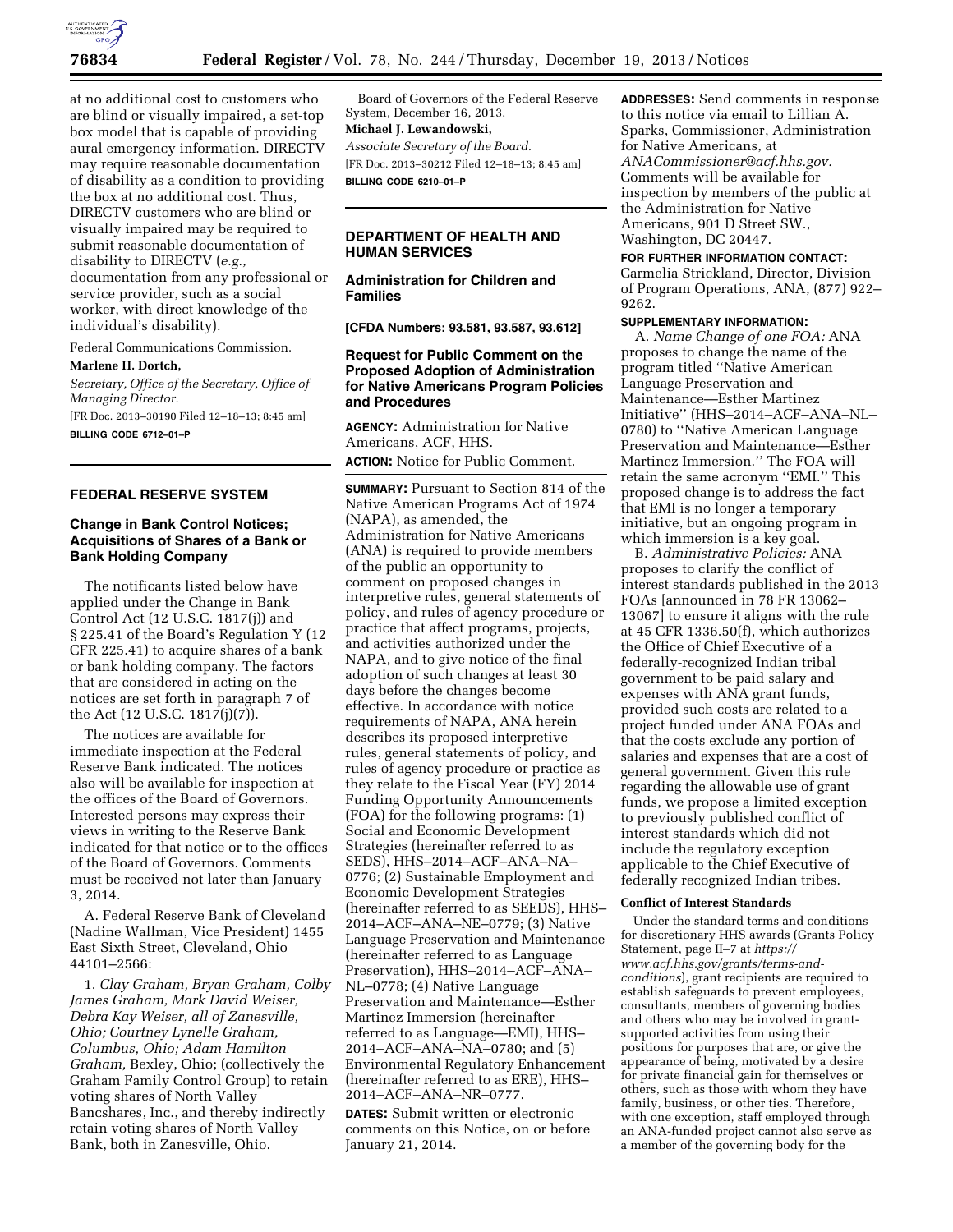

at no additional cost to customers who are blind or visually impaired, a set-top box model that is capable of providing aural emergency information. DIRECTV may require reasonable documentation of disability as a condition to providing the box at no additional cost. Thus, DIRECTV customers who are blind or visually impaired may be required to submit reasonable documentation of disability to DIRECTV (*e.g.,*  documentation from any professional or service provider, such as a social worker, with direct knowledge of the individual's disability).

Federal Communications Commission.

### **Marlene H. Dortch,**

*Secretary, Office of the Secretary, Office of Managing Director.* 

[FR Doc. 2013–30190 Filed 12–18–13; 8:45 am] **BILLING CODE 6712–01–P** 

# **FEDERAL RESERVE SYSTEM**

# **Change in Bank Control Notices; Acquisitions of Shares of a Bank or Bank Holding Company**

The notificants listed below have applied under the Change in Bank Control Act (12 U.S.C. 1817(j)) and § 225.41 of the Board's Regulation Y (12 CFR 225.41) to acquire shares of a bank or bank holding company. The factors that are considered in acting on the notices are set forth in paragraph 7 of the Act (12 U.S.C. 1817(j)(7)).

The notices are available for immediate inspection at the Federal Reserve Bank indicated. The notices also will be available for inspection at the offices of the Board of Governors. Interested persons may express their views in writing to the Reserve Bank indicated for that notice or to the offices of the Board of Governors. Comments must be received not later than January 3, 2014.

A. Federal Reserve Bank of Cleveland (Nadine Wallman, Vice President) 1455 East Sixth Street, Cleveland, Ohio 44101–2566:

1. *Clay Graham, Bryan Graham, Colby James Graham, Mark David Weiser, Debra Kay Weiser, all of Zanesville, Ohio; Courtney Lynelle Graham, Columbus, Ohio; Adam Hamilton Graham,* Bexley, Ohio; (collectively the Graham Family Control Group) to retain voting shares of North Valley Bancshares, Inc., and thereby indirectly retain voting shares of North Valley Bank, both in Zanesville, Ohio.

Board of Governors of the Federal Reserve System, December 16, 2013. **Michael J. Lewandowski,**  *Associate Secretary of the Board.*  [FR Doc. 2013–30212 Filed 12–18–13; 8:45 am] **BILLING CODE 6210–01–P** 

# **DEPARTMENT OF HEALTH AND HUMAN SERVICES**

**Administration for Children and Families** 

**[CFDA Numbers: 93.581, 93.587, 93.612]** 

## **Request for Public Comment on the Proposed Adoption of Administration for Native Americans Program Policies and Procedures**

**AGENCY:** Administration for Native Americans, ACF, HHS. **ACTION:** Notice for Public Comment.

**SUMMARY:** Pursuant to Section 814 of the Native American Programs Act of 1974 (NAPA), as amended, the Administration for Native Americans (ANA) is required to provide members of the public an opportunity to comment on proposed changes in interpretive rules, general statements of policy, and rules of agency procedure or practice that affect programs, projects, and activities authorized under the NAPA, and to give notice of the final adoption of such changes at least 30 days before the changes become effective. In accordance with notice requirements of NAPA, ANA herein describes its proposed interpretive rules, general statements of policy, and rules of agency procedure or practice as they relate to the Fiscal Year (FY) 2014 Funding Opportunity Announcements (FOA) for the following programs: (1) Social and Economic Development Strategies (hereinafter referred to as SEDS), HHS–2014–ACF–ANA–NA– 0776; (2) Sustainable Employment and Economic Development Strategies (hereinafter referred to as SEEDS), HHS– 2014–ACF–ANA–NE–0779; (3) Native Language Preservation and Maintenance (hereinafter referred to as Language Preservation), HHS–2014–ACF–ANA– NL–0778; (4) Native Language Preservation and Maintenance—Esther Martinez Immersion (hereinafter referred to as Language—EMI), HHS– 2014–ACF–ANA–NA–0780; and (5) Environmental Regulatory Enhancement (hereinafter referred to as ERE), HHS– 2014–ACF–ANA–NR–0777.

**DATES:** Submit written or electronic comments on this Notice, on or before January 21, 2014.

**ADDRESSES:** Send comments in response to this notice via email to Lillian A. Sparks, Commissioner, Administration for Native Americans, at *[ANACommissioner@acf.hhs.gov.](mailto:ANACommissioner@acf.hhs.gov)*  Comments will be available for inspection by members of the public at the Administration for Native Americans, 901 D Street SW., Washington, DC 20447.

### **FOR FURTHER INFORMATION CONTACT:**

Carmelia Strickland, Director, Division of Program Operations, ANA, (877) 922– 9262.

### **SUPPLEMENTARY INFORMATION:**

A. *Name Change of one FOA:* ANA proposes to change the name of the program titled ''Native American Language Preservation and Maintenance—Esther Martinez Initiative'' (HHS–2014–ACF–ANA–NL– 0780) to ''Native American Language Preservation and Maintenance—Esther Martinez Immersion.'' The FOA will retain the same acronym ''EMI.'' This proposed change is to address the fact that EMI is no longer a temporary initiative, but an ongoing program in which immersion is a key goal.

B. *Administrative Policies:* ANA proposes to clarify the conflict of interest standards published in the 2013 FOAs [announced in 78 FR 13062– 13067] to ensure it aligns with the rule at 45 CFR 1336.50(f), which authorizes the Office of Chief Executive of a federally-recognized Indian tribal government to be paid salary and expenses with ANA grant funds, provided such costs are related to a project funded under ANA FOAs and that the costs exclude any portion of salaries and expenses that are a cost of general government. Given this rule regarding the allowable use of grant funds, we propose a limited exception to previously published conflict of interest standards which did not include the regulatory exception applicable to the Chief Executive of federally recognized Indian tribes.

#### **Conflict of Interest Standards**

Under the standard terms and conditions for discretionary HHS awards (Grants Policy Statement, page II–7 at *https:// www.acf.hhs.gov/grants/terms-andconditions*), grant recipients are required to establish safeguards to prevent employees, consultants, members of governing bodies and others who may be involved in grantsupported activities from using their positions for purposes that are, or give the appearance of being, motivated by a desire for private financial gain for themselves or others, such as those with whom they have family, business, or other ties. Therefore, with one exception, staff employed through an ANA-funded project cannot also serve as a member of the governing body for the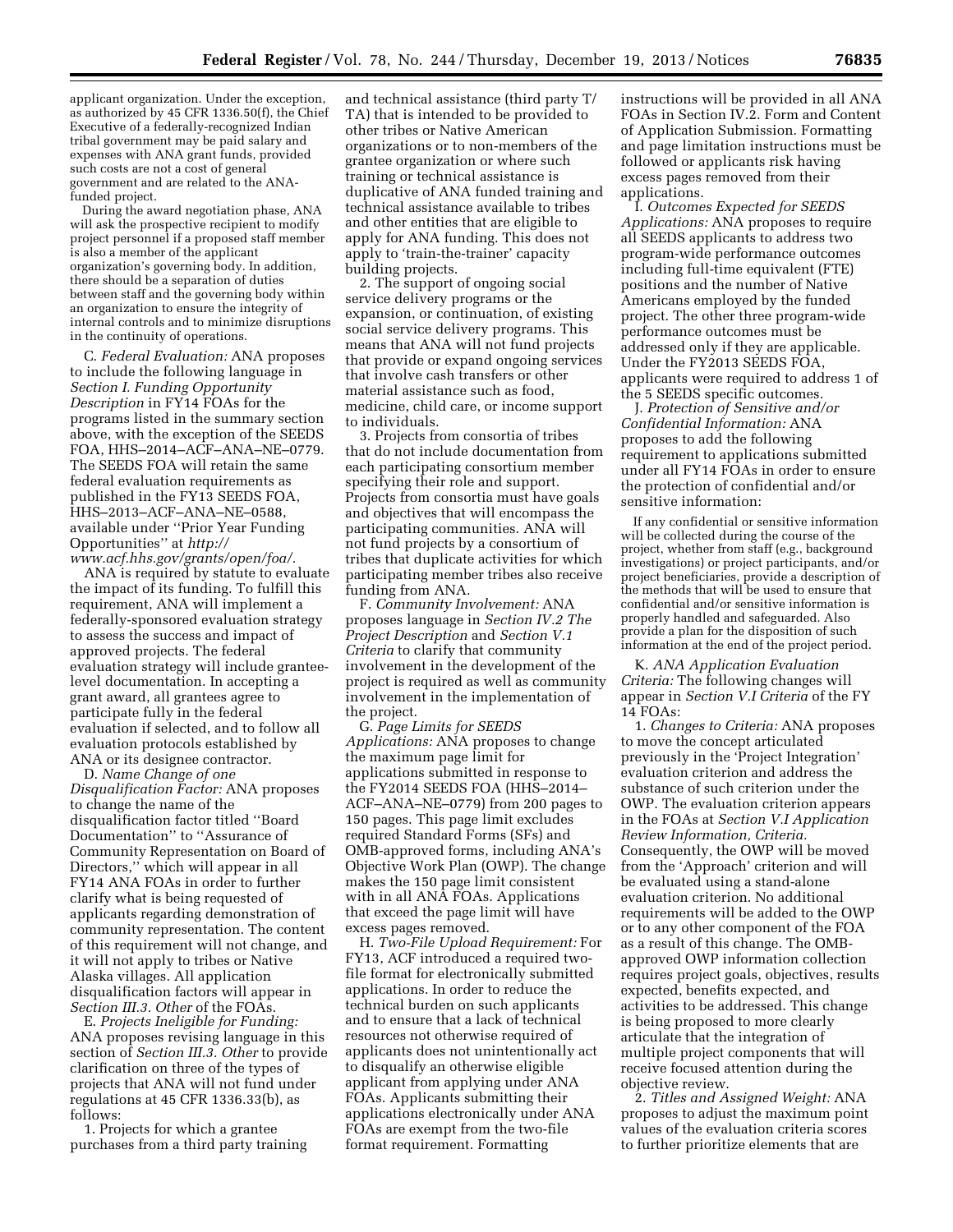applicant organization. Under the exception, as authorized by 45 CFR 1336.50(f), the Chief Executive of a federally-recognized Indian tribal government may be paid salary and expenses with ANA grant funds, provided such costs are not a cost of general government and are related to the ANAfunded project.

During the award negotiation phase, ANA will ask the prospective recipient to modify project personnel if a proposed staff member is also a member of the applicant organization's governing body. In addition, there should be a separation of duties between staff and the governing body within an organization to ensure the integrity of internal controls and to minimize disruptions in the continuity of operations.

C. *Federal Evaluation:* ANA proposes to include the following language in *Section I. Funding Opportunity Description* in FY14 FOAs for the programs listed in the summary section above, with the exception of the SEEDS FOA, HHS–2014–ACF–ANA–NE–0779. The SEEDS FOA will retain the same federal evaluation requirements as published in the FY13 SEEDS FOA, HHS–2013–ACF–ANA–NE–0588, available under ''Prior Year Funding Opportunities'' at *[http://](http://www.acf.hhs.gov/grants/open/foa/) [www.acf.hhs.gov/grants/open/foa/.](http://www.acf.hhs.gov/grants/open/foa/)* 

ANA is required by statute to evaluate the impact of its funding. To fulfill this requirement, ANA will implement a federally-sponsored evaluation strategy to assess the success and impact of approved projects. The federal evaluation strategy will include granteelevel documentation. In accepting a grant award, all grantees agree to participate fully in the federal evaluation if selected, and to follow all evaluation protocols established by ANA or its designee contractor.

D. *Name Change of one Disqualification Factor:* ANA proposes to change the name of the disqualification factor titled ''Board Documentation'' to ''Assurance of Community Representation on Board of Directors,'' which will appear in all FY14 ANA FOAs in order to further clarify what is being requested of applicants regarding demonstration of community representation. The content of this requirement will not change, and it will not apply to tribes or Native Alaska villages. All application disqualification factors will appear in *Section III.3. Other* of the FOAs.

E. *Projects Ineligible for Funding:*  ANA proposes revising language in this section of *Section III.3. Other* to provide clarification on three of the types of projects that ANA will not fund under regulations at 45 CFR 1336.33(b), as follows:

1. Projects for which a grantee purchases from a third party training

and technical assistance (third party T/ TA) that is intended to be provided to other tribes or Native American organizations or to non-members of the grantee organization or where such training or technical assistance is duplicative of ANA funded training and technical assistance available to tribes and other entities that are eligible to apply for ANA funding. This does not apply to 'train-the-trainer' capacity building projects.

2. The support of ongoing social service delivery programs or the expansion, or continuation, of existing social service delivery programs. This means that ANA will not fund projects that provide or expand ongoing services that involve cash transfers or other material assistance such as food, medicine, child care, or income support to individuals.

3. Projects from consortia of tribes that do not include documentation from each participating consortium member specifying their role and support. Projects from consortia must have goals and objectives that will encompass the participating communities. ANA will not fund projects by a consortium of tribes that duplicate activities for which participating member tribes also receive funding from ANA.

F. *Community Involvement:* ANA proposes language in *Section IV.2 The Project Description* and *Section V.1 Criteria* to clarify that community involvement in the development of the project is required as well as community involvement in the implementation of the project.

G. *Page Limits for SEEDS Applications:* ANA proposes to change the maximum page limit for applications submitted in response to the FY2014 SEEDS FOA (HHS–2014– ACF–ANA–NE–0779) from 200 pages to 150 pages. This page limit excludes required Standard Forms (SFs) and OMB-approved forms, including ANA's Objective Work Plan (OWP). The change makes the 150 page limit consistent with in all ANA FOAs. Applications that exceed the page limit will have excess pages removed.

H. *Two-File Upload Requirement:* For FY13, ACF introduced a required twofile format for electronically submitted applications. In order to reduce the technical burden on such applicants and to ensure that a lack of technical resources not otherwise required of applicants does not unintentionally act to disqualify an otherwise eligible applicant from applying under ANA FOAs. Applicants submitting their applications electronically under ANA FOAs are exempt from the two-file format requirement. Formatting

instructions will be provided in all ANA FOAs in Section IV.2. Form and Content of Application Submission. Formatting and page limitation instructions must be followed or applicants risk having excess pages removed from their applications.

I. *Outcomes Expected for SEEDS Applications:* ANA proposes to require all SEEDS applicants to address two program-wide performance outcomes including full-time equivalent (FTE) positions and the number of Native Americans employed by the funded project. The other three program-wide performance outcomes must be addressed only if they are applicable. Under the FY2013 SEEDS FOA, applicants were required to address 1 of the 5 SEEDS specific outcomes.

J. *Protection of Sensitive and/or Confidential Information:* ANA proposes to add the following requirement to applications submitted under all FY14 FOAs in order to ensure the protection of confidential and/or sensitive information:

If any confidential or sensitive information will be collected during the course of the project, whether from staff (e.g., background investigations) or project participants, and/or project beneficiaries, provide a description of the methods that will be used to ensure that confidential and/or sensitive information is properly handled and safeguarded. Also provide a plan for the disposition of such information at the end of the project period.

K. *ANA Application Evaluation Criteria:* The following changes will appear in *Section V.I Criteria* of the FY 14 FOAs:

1. *Changes to Criteria:* ANA proposes to move the concept articulated previously in the 'Project Integration' evaluation criterion and address the substance of such criterion under the OWP. The evaluation criterion appears in the FOAs at *Section V.I Application Review Information, Criteria.*  Consequently, the OWP will be moved from the 'Approach' criterion and will be evaluated using a stand-alone evaluation criterion. No additional requirements will be added to the OWP or to any other component of the FOA as a result of this change. The OMBapproved OWP information collection requires project goals, objectives, results expected, benefits expected, and activities to be addressed. This change is being proposed to more clearly articulate that the integration of multiple project components that will receive focused attention during the objective review.

2. *Titles and Assigned Weight:* ANA proposes to adjust the maximum point values of the evaluation criteria scores to further prioritize elements that are